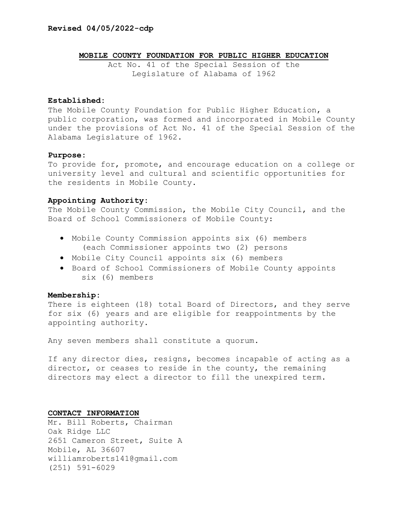## **MOBILE COUNTY FOUNDATION FOR PUBLIC HIGHER EDUCATION**

Act No. 41 of the Special Session of the Legislature of Alabama of 1962

## **Established:**

The Mobile County Foundation for Public Higher Education, a public corporation, was formed and incorporated in Mobile County under the provisions of Act No. 41 of the Special Session of the Alabama Legislature of 1962.

### **Purpose:**

To provide for, promote, and encourage education on a college or university level and cultural and scientific opportunities for the residents in Mobile County.

### **Appointing Authority:**

The Mobile County Commission, the Mobile City Council, and the Board of School Commissioners of Mobile County:

- Mobile County Commission appoints six (6) members (each Commissioner appoints two (2) persons
- Mobile City Council appoints six (6) members
- Board of School Commissioners of Mobile County appoints six (6) members

## **Membership:**

There is eighteen (18) total Board of Directors, and they serve for six (6) years and are eligible for reappointments by the appointing authority.

Any seven members shall constitute a quorum.

If any director dies, resigns, becomes incapable of acting as a director, or ceases to reside in the county, the remaining directors may elect a director to fill the unexpired term.

#### **CONTACT INFORMATION**

Mr. Bill Roberts, Chairman Oak Ridge LLC 2651 Cameron Street, Suite A Mobile, AL 36607 williamroberts141@gmail.com (251) 591-6029